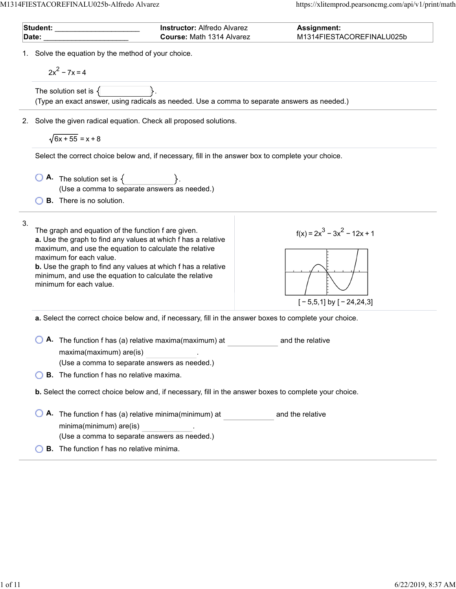| Date: | <b>Instructor: Alfredo Alvarez</b><br>Student: ________<br>Course: Math 1314 Alvarez                                                                                                                                                                                                                                                                                     | <b>Assignment:</b><br>M1314FIESTACOREFINALU025b              |
|-------|--------------------------------------------------------------------------------------------------------------------------------------------------------------------------------------------------------------------------------------------------------------------------------------------------------------------------------------------------------------------------|--------------------------------------------------------------|
| 1.    | Solve the equation by the method of your choice.<br>$2x^2 - 7x = 4$                                                                                                                                                                                                                                                                                                      |                                                              |
|       | The solution set is $\{$<br>(Type an exact answer, using radicals as needed. Use a comma to separate answers as needed.)                                                                                                                                                                                                                                                 |                                                              |
| 2.    | Solve the given radical equation. Check all proposed solutions.                                                                                                                                                                                                                                                                                                          |                                                              |
|       | $\sqrt{6x+55}$ = x + 8                                                                                                                                                                                                                                                                                                                                                   |                                                              |
|       | Select the correct choice below and, if necessary, fill in the answer box to complete your choice.                                                                                                                                                                                                                                                                       |                                                              |
|       | <b>A.</b> The solution set is $\{ \}$ .<br>(Use a comma to separate answers as needed.)                                                                                                                                                                                                                                                                                  |                                                              |
|       | <b>B.</b> There is no solution.                                                                                                                                                                                                                                                                                                                                          |                                                              |
| 3.    | The graph and equation of the function f are given.<br>a. Use the graph to find any values at which f has a relative<br>maximum, and use the equation to calculate the relative<br>maximum for each value.<br><b>b.</b> Use the graph to find any values at which f has a relative<br>minimum, and use the equation to calculate the relative<br>minimum for each value. | $f(x) = 2x^3 - 3x^2 - 12x + 1$<br>$[-5,5,1]$ by $[-24,24,3]$ |
|       | a. Select the correct choice below and, if necessary, fill in the answer boxes to complete your choice.                                                                                                                                                                                                                                                                  |                                                              |
|       | A. The function f has (a) relative maxima(maximum) at<br>maxima(maximum) are(is)<br>(Use a comma to separate answers as needed.)                                                                                                                                                                                                                                         | and the relative                                             |
|       | <b>B.</b> The function f has no relative maxima.                                                                                                                                                                                                                                                                                                                         |                                                              |
|       | b. Select the correct choice below and, if necessary, fill in the answer boxes to complete your choice.                                                                                                                                                                                                                                                                  |                                                              |
|       | A. The function f has (a) relative minima(minimum) at<br>minima(minimum) are(is)<br>(Use a comma to separate answers as needed.)                                                                                                                                                                                                                                         | and the relative                                             |
|       | <b>B.</b> The function f has no relative minima.                                                                                                                                                                                                                                                                                                                         |                                                              |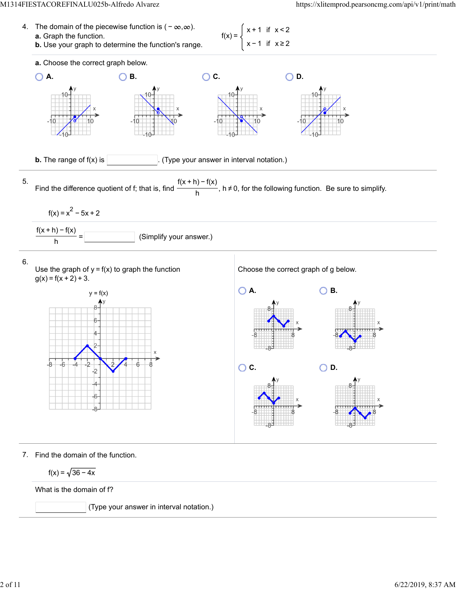



7. Find the domain of the function.

$$
f(x) = \sqrt{36 - 4x}
$$

What is the domain of f?

(Type your answer in interval notation.)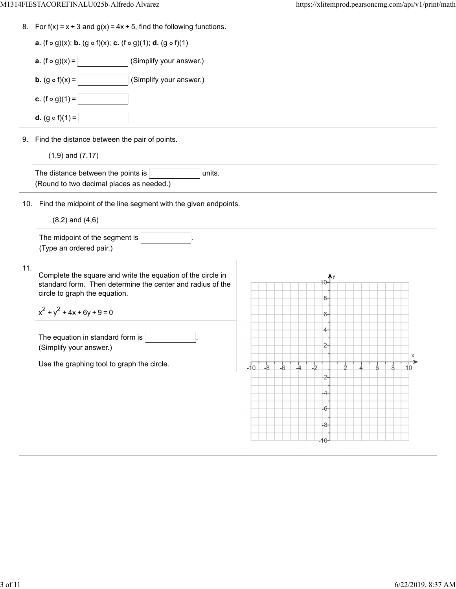8. For  $f(x) = x + 3$  and  $g(x) = 4x + 5$ , find the following functions.

|     | <b>a.</b> (f $\circ$ g)(x); <b>b.</b> (g $\circ$ f)(x); <b>c.</b> (f $\circ$ g)(1); <b>d.</b> (g $\circ$ f)(1)            |            |                |      |               |       |               |               |               |               |                 |
|-----|---------------------------------------------------------------------------------------------------------------------------|------------|----------------|------|---------------|-------|---------------|---------------|---------------|---------------|-----------------|
|     | <b>a.</b> $(f \circ g)(x) =$<br>(Simplify your answer.)                                                                   |            |                |      |               |       |               |               |               |               |                 |
|     | <b>b.</b> $(g \circ f)(x) =$<br>(Simplify your answer.)                                                                   |            |                |      |               |       |               |               |               |               |                 |
|     | <b>c.</b> $(f \circ g)(1) =$                                                                                              |            |                |      |               |       |               |               |               |               |                 |
|     | <b>d.</b> $(g \circ f)(1) =$                                                                                              |            |                |      |               |       |               |               |               |               |                 |
|     | 9. Find the distance between the pair of points.                                                                          |            |                |      |               |       |               |               |               |               |                 |
|     | $(1,9)$ and $(7,17)$                                                                                                      |            |                |      |               |       |               |               |               |               |                 |
|     | The distance between the points is<br>units.<br>(Round to two decimal places as needed.)                                  |            |                |      |               |       |               |               |               |               |                 |
|     | 10. Find the midpoint of the line segment with the given endpoints.                                                       |            |                |      |               |       |               |               |               |               |                 |
|     | $(8,2)$ and $(4,6)$                                                                                                       |            |                |      |               |       |               |               |               |               |                 |
|     | The midpoint of the segment is<br>(Type an ordered pair.)                                                                 |            |                |      |               |       |               |               |               |               |                 |
| 11. | Complete the square and write the equation of the circle in<br>standard form. Then determine the center and radius of the |            |                |      |               |       |               |               |               |               |                 |
|     | circle to graph the equation.                                                                                             |            |                |      |               | 8-    |               |               |               |               |                 |
|     | $x^{2} + y^{2} + 4x + 6y + 9 = 0$                                                                                         |            |                |      |               |       |               |               |               |               |                 |
|     |                                                                                                                           |            |                |      |               | $6-$  |               |               |               |               |                 |
|     |                                                                                                                           |            |                |      |               | $4-$  |               |               |               |               |                 |
|     | The equation in standard form is<br>(Simplify your answer.)                                                               |            |                |      |               | $2-$  |               |               |               |               |                 |
|     |                                                                                                                           |            |                |      |               |       |               |               |               |               | Х               |
|     | Use the graphing tool to graph the circle.                                                                                | $-10$ $-8$ | $-\frac{1}{6}$ | $-4$ | $\frac{1}{2}$ | $-2-$ | $\frac{1}{2}$ | $\frac{1}{4}$ | $\frac{1}{6}$ | $\frac{1}{8}$ | $\overline{10}$ |
|     |                                                                                                                           |            |                |      |               | 4-    |               |               |               |               |                 |
|     |                                                                                                                           |            |                |      |               | $-6-$ |               |               |               |               |                 |
|     |                                                                                                                           |            |                |      |               | -8-   |               |               |               |               |                 |

 $\overline{\phantom{0}}$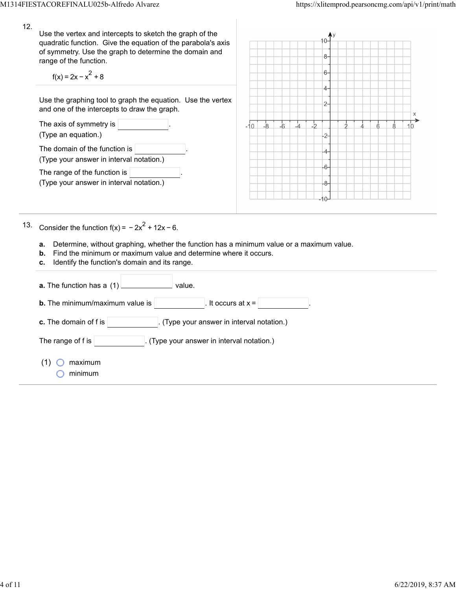| 12. | Use the vertex and intercepts to sketch the graph of the<br>quadratic function. Give the equation of the parabola's axis<br>of symmetry. Use the graph to determine the domain and<br>range of the function.<br>$f(x) = 2x - x^2 + 8$                                                |       |      |      |    |               | -8<br>6- |  |   |          |  |
|-----|--------------------------------------------------------------------------------------------------------------------------------------------------------------------------------------------------------------------------------------------------------------------------------------|-------|------|------|----|---------------|----------|--|---|----------|--|
|     | Use the graphing tool to graph the equation. Use the vertex<br>and one of the intercepts to draw the graph.                                                                                                                                                                          |       |      |      |    |               | $2-$     |  |   | X        |  |
|     | The axis of symmetry is<br>(Type an equation.)                                                                                                                                                                                                                                       | $-10$ | $-8$ | $-6$ | -4 | $\frac{1}{2}$ | 2-       |  | Ġ | $10^{-}$ |  |
|     | The domain of the function is<br>(Type your answer in interval notation.)                                                                                                                                                                                                            |       |      |      |    |               | 6-       |  |   |          |  |
|     | The range of the function is<br>(Type your answer in interval notation.)                                                                                                                                                                                                             |       |      |      |    |               | 8-<br>١O |  |   |          |  |
| 13. | Consider the function $f(x) = -2x^2 + 12x - 6$ .<br>Determine, without graphing, whether the function has a minimum value or a maximum value.<br>a.<br>Find the minimum or maximum value and determine where it occurs.<br>b.<br>Identify the function's domain and its range.<br>c. |       |      |      |    |               |          |  |   |          |  |
|     | $\frac{1}{\sqrt{1-\frac{1}{2}}}\n$ value.<br><b>a.</b> The function has a $(1)$                                                                                                                                                                                                      |       |      |      |    |               |          |  |   |          |  |
|     | It occurs at $x =$<br><b>b.</b> The minimum/maximum value is                                                                                                                                                                                                                         |       |      |      |    |               |          |  |   |          |  |
|     | c. The domain of f is $ $<br>. (Type your answer in interval notation.)                                                                                                                                                                                                              |       |      |      |    |               |          |  |   |          |  |
|     | The range of f is<br>(Type your answer in interval notation.)                                                                                                                                                                                                                        |       |      |      |    |               |          |  |   |          |  |
|     | maximum<br>(1)<br>minimum                                                                                                                                                                                                                                                            |       |      |      |    |               |          |  |   |          |  |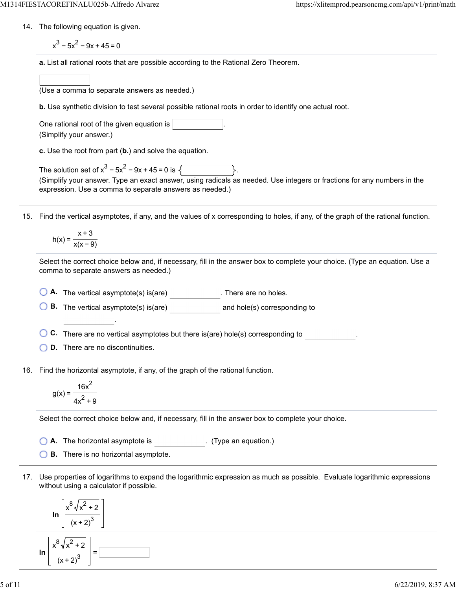- 14. The following equation is given.
	- $x^3 5x^2 9x + 45 = 0$
	- **a.** List all rational roots that are possible according to the Rational Zero Theorem.
	- (Use a comma to separate answers as needed.)
	- **b.** Use synthetic division to test several possible rational roots in order to identify one actual root.

| One rational root of the given equation is |  |
|--------------------------------------------|--|
| (Simplify your answer.)                    |  |

**c.** Use the root from part (**b.**) and solve the equation.

| The solution set of $x^3 - 5x^2 - 9x + 45 = 0$ is $\sqrt{ }$                                                            |  |
|-------------------------------------------------------------------------------------------------------------------------|--|
| (Simplify your answer. Type an exact answer, using radicals as needed. Use integers or fractions for any numbers in the |  |
| expression. Use a comma to separate answers as needed.)                                                                 |  |

15. Find the vertical asymptotes, if any, and the values of x corresponding to holes, if any, of the graph of the rational function.

$$
h(x) = \frac{x+3}{x(x-9)}
$$

Select the correct choice below and, if necessary, fill in the answer box to complete your choice. (Type an equation. Use a comma to separate answers as needed.)

**O** A. The vertical asymptote(s) is(are) \_\_\_\_\_\_\_\_\_\_\_. There are no holes.

**B.** The vertical asymptote(s) is(are) and hole(s) corresponding to

**C.** There are no vertical asymptotes but there is(are) hole(s) corresponding to .

**D.** There are no discontinuities.

.

16. Find the horizontal asymptote, if any, of the graph of the rational function.

$$
g(x) = \frac{16x^2}{4x^2 + 9}
$$

Select the correct choice below and, if necessary, fill in the answer box to complete your choice.

- **A.** The horizontal asymptote is . (Type an equation.)
- **B.** There is no horizontal asymptote.
- 17. Use properties of logarithms to expand the logarithmic expression as much as possible. Evaluate logarithmic expressions without using a calculator if possible.

$$
\ln\left[\frac{x^8\sqrt{x^2+2}}{(x+2)^3}\right]
$$

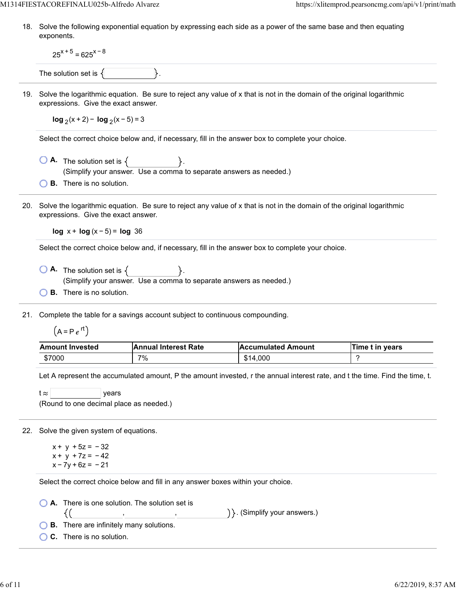18. Solve the following exponential equation by expressing each side as a power of the same base and then equating exponents.

 $25^{x+5}$  = 625<sup>x-8</sup>

The solution set is  $\{$ 

19. Solve the logarithmic equation. Be sure to reject any value of x that is not in the domain of the original logarithmic expressions. Give the exact answer.

**log**  $(x + 2) - \log_2(x - 5) = 3$ 

Select the correct choice below and, if necessary, fill in the answer box to complete your choice.

- $\bigcirc$  **A.** The solution set is  $\{$ (Simplify your answer. Use a comma to separate answers as needed.)
- **B.** There is no solution.
- 20. Solve the logarithmic equation. Be sure to reject any value of x that is not in the domain of the original logarithmic expressions. Give the exact answer.

**log** x + **log** (x − 5) = **log** 36

Select the correct choice below and, if necessary, fill in the answer box to complete your choice.

- $\overline{A}$  The solution set is  $\{$ (Simplify your answer. Use a comma to separate answers as needed.)
- **B.** There is no solution.

21. Complete the table for a savings account subject to continuous compounding.

 $(A = Pe^{rt})$ 

| <b>Amount Invested</b> | <b>Annual Interest Rate</b> | <b>Accumulated Amount</b> | Time t in years |
|------------------------|-----------------------------|---------------------------|-----------------|
| \$7000                 | 7%                          | \$14.000                  |                 |

Let A represent the accumulated amount, P the amount invested, r the annual interest rate, and t the time. Find the time, t.

 $t \approx$  | years (Round to one decimal place as needed.)

22. Solve the given system of equations.

 $x + y + 5z = -32$  $x + y + 7z = -42$  $x - 7y + 6z = -21$ 

Select the correct choice below and fill in any answer boxes within your choice.

, ,

**A.** There is one solution. The solution set is

) }. (Simplify your answers.)

**B.** There are infinitely many solutions.

**C.** There is no solution.

{(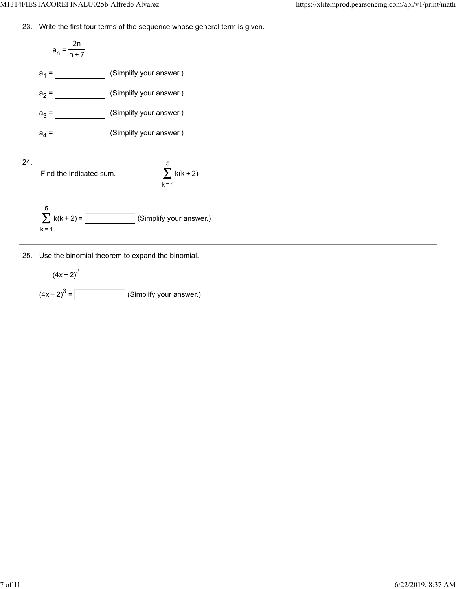23. Write the first four terms of the sequence whose general term is given.

$$
a_1 = \frac{2n}{n+7}
$$
\n
$$
a_1 = \boxed{\boxed{\boxed{\text{Simplify your answer.}}}}
$$
\n
$$
a_2 = \boxed{\boxed{\text{Simplify your answer.}}}
$$
\n
$$
a_3 = \boxed{\boxed{\text{Simplify your answer.}}}
$$
\n
$$
a_4 = \boxed{\boxed{\text{Simplify your answer.}}}
$$
\n
$$
a_5 = \boxed{\text{Simplify your answer.}}
$$
\n
$$
a_6 = \boxed{\text{Simplify your answer.}}
$$
\n
$$
k = 1
$$
\n
$$
k = 1
$$
\n
$$
k = 1
$$
\n
$$
k = 1
$$
\n
$$
k = 2
$$
\n
$$
k = 1
$$
\n
$$
k = 3
$$
\n
$$
k = 4
$$
\n
$$
k = 1
$$
\n
$$
k = 1
$$
\n
$$
k = 2
$$
\n
$$
k = 3
$$
\n
$$
k = 4
$$
\n
$$
k = 1
$$
\n
$$
k = 1
$$
\n
$$
k = 2
$$
\n
$$
k = 3
$$
\n
$$
k = 4
$$
\n
$$
k = 1
$$
\n
$$
k = 1
$$
\n
$$
k = 2
$$
\n
$$
k = 3
$$
\n
$$
k = 4
$$
\n
$$
k = 1
$$
\n
$$
k = 1
$$
\n
$$
k = 2
$$
\n
$$
k = 3
$$
\n
$$
k = 4
$$
\n
$$
k = 1
$$
\n
$$
k = 1
$$
\n
$$
k = 2
$$
\n
$$
k = 1
$$
\n
$$
k = 2
$$
\n
$$
k = 1
$$
\n
$$
k = 2
$$
\n
$$
k = 1
$$
\n
$$
k = 2
$$
\n
$$
k = 1
$$
\n
$$
k = 1
$$
\n
$$
k = 2
$$
\n
$$
k = 2
$$
\n
$$
k = 2
$$

$$
(4x-2)^3
$$
  
(4x-2)<sup>3</sup> = \_\_\_\_\_\_\_\_ (Simplify your answer.)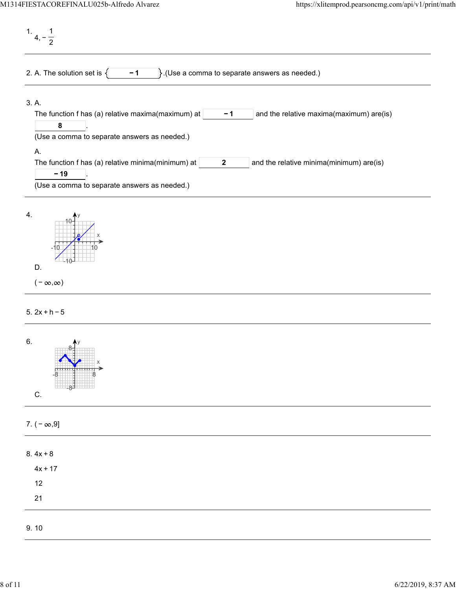1. 4, − 1 2 2. A. The solution set is  $\begin{cases} \begin{matrix} -1 \\ \end{matrix}$ . (Use a comma to separate answers as needed.) 3. A. The function f has (a) relative maxima(maximum) at  $\vert$  -1  $\vert$  and the relative maxima(maximum) are(is) . **− 1 8** (Use a comma to separate answers as needed.) A. The function f has (a) relative minima(minimum) at  $\vert$  2  $\vert$  and the relative minima(minimum) are(is) . **2 − 19** (Use a comma to separate answers as needed.) 4.



## 5. 2x + h − 5

| 6.<br>A <sub>y</sub><br>8-<br>X<br>⊥8∓<br>$\mathsf C.$ |  |  |
|--------------------------------------------------------|--|--|
| 7. $(-\infty, 9]$                                      |  |  |
| $8.4x + 8$                                             |  |  |
| $4x + 17$                                              |  |  |
| 12                                                     |  |  |
| 21                                                     |  |  |
| 9.10                                                   |  |  |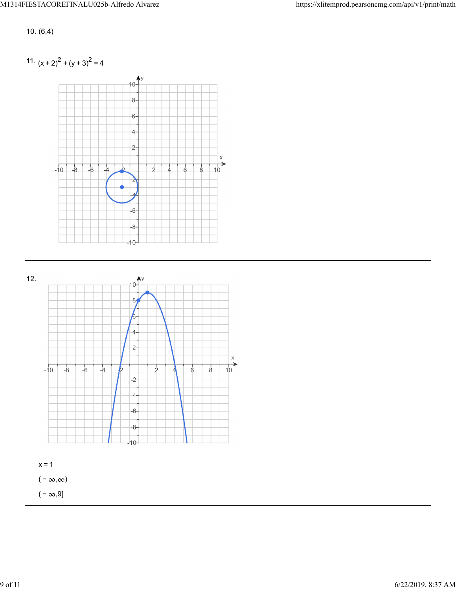10. (6,4)

11.  $(x + 2)^2 + (y + 3)^2 = 4$ 





 $(-\infty, \infty)$ 

 $(-\infty, 9]$